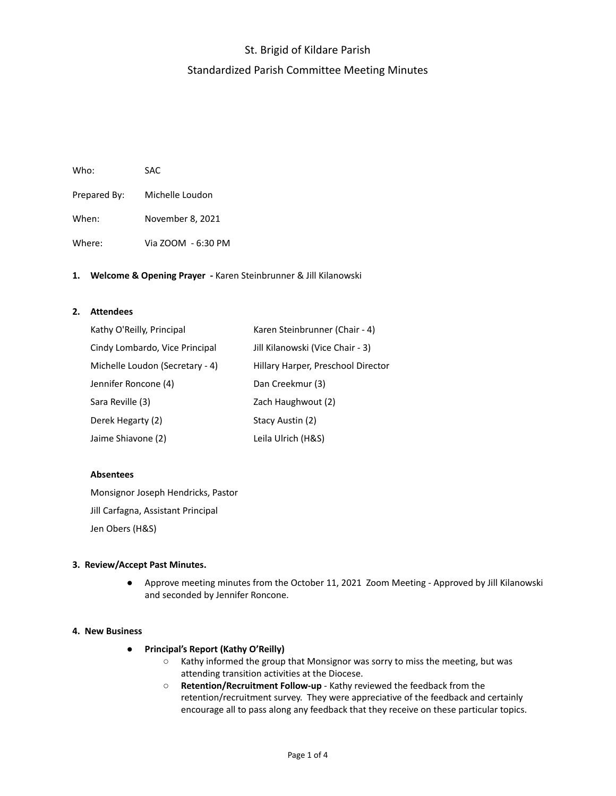# St. Brigid of Kildare Parish Standardized Parish Committee Meeting Minutes

| Who:         | SAC.               |
|--------------|--------------------|
| Prepared By: | Michelle Loudon    |
| When:        | November 8, 2021   |
| Where:       | Via ZOOM - 6:30 PM |

## **1. Welcome & Opening Prayer -** Karen Steinbrunner & Jill Kilanowski

## **2. Attendees**

| Kathy O'Reilly, Principal       | Karen Steinbrunner (Chair - 4)     |
|---------------------------------|------------------------------------|
| Cindy Lombardo, Vice Principal  | Jill Kilanowski (Vice Chair - 3)   |
| Michelle Loudon (Secretary - 4) | Hillary Harper, Preschool Director |
| Jennifer Roncone (4)            | Dan Creekmur (3)                   |
| Sara Reville (3)                | Zach Haughwout (2)                 |
| Derek Hegarty (2)               | Stacy Austin (2)                   |
| Jaime Shiavone (2)              | Leila Ulrich (H&S)                 |

### **Absentees**

Monsignor Joseph Hendricks, Pastor Jill Carfagna, Assistant Principal Jen Obers (H&S)

## **3. Review/Accept Past Minutes.**

● Approve meeting minutes from the October 11, 2021 Zoom Meeting - Approved by Jill Kilanowski and seconded by Jennifer Roncone.

#### **4. New Business**

- **● Principal's Report (Kathy O'Reilly)**
	- Kathy informed the group that Monsignor was sorry to miss the meeting, but was attending transition activities at the Diocese.
	- **Retention/Recruitment Follow-up** Kathy reviewed the feedback from the retention/recruitment survey. They were appreciative of the feedback and certainly encourage all to pass along any feedback that they receive on these particular topics.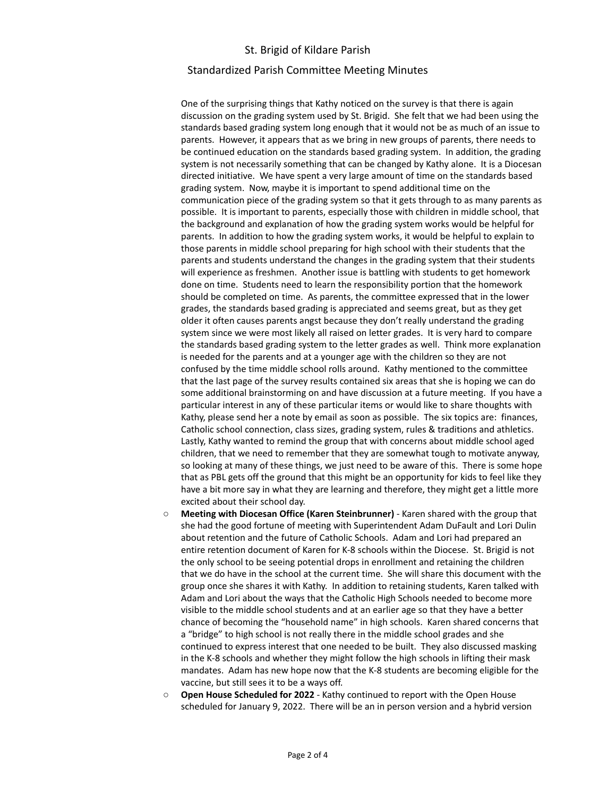## St. Brigid of Kildare Parish

## Standardized Parish Committee Meeting Minutes

One of the surprising things that Kathy noticed on the survey is that there is again discussion on the grading system used by St. Brigid. She felt that we had been using the standards based grading system long enough that it would not be as much of an issue to parents. However, it appears that as we bring in new groups of parents, there needs to be continued education on the standards based grading system. In addition, the grading system is not necessarily something that can be changed by Kathy alone. It is a Diocesan directed initiative. We have spent a very large amount of time on the standards based grading system. Now, maybe it is important to spend additional time on the communication piece of the grading system so that it gets through to as many parents as possible. It is important to parents, especially those with children in middle school, that the background and explanation of how the grading system works would be helpful for parents. In addition to how the grading system works, it would be helpful to explain to those parents in middle school preparing for high school with their students that the parents and students understand the changes in the grading system that their students will experience as freshmen. Another issue is battling with students to get homework done on time. Students need to learn the responsibility portion that the homework should be completed on time. As parents, the committee expressed that in the lower grades, the standards based grading is appreciated and seems great, but as they get older it often causes parents angst because they don't really understand the grading system since we were most likely all raised on letter grades. It is very hard to compare the standards based grading system to the letter grades as well. Think more explanation is needed for the parents and at a younger age with the children so they are not confused by the time middle school rolls around. Kathy mentioned to the committee that the last page of the survey results contained six areas that she is hoping we can do some additional brainstorming on and have discussion at a future meeting. If you have a particular interest in any of these particular items or would like to share thoughts with Kathy, please send her a note by email as soon as possible. The six topics are: finances, Catholic school connection, class sizes, grading system, rules & traditions and athletics. Lastly, Kathy wanted to remind the group that with concerns about middle school aged children, that we need to remember that they are somewhat tough to motivate anyway, so looking at many of these things, we just need to be aware of this. There is some hope that as PBL gets off the ground that this might be an opportunity for kids to feel like they have a bit more say in what they are learning and therefore, they might get a little more excited about their school day.

- **Meeting with Diocesan Office (Karen Steinbrunner)** Karen shared with the group that she had the good fortune of meeting with Superintendent Adam DuFault and Lori Dulin about retention and the future of Catholic Schools. Adam and Lori had prepared an entire retention document of Karen for K-8 schools within the Diocese. St. Brigid is not the only school to be seeing potential drops in enrollment and retaining the children that we do have in the school at the current time. She will share this document with the group once she shares it with Kathy. In addition to retaining students, Karen talked with Adam and Lori about the ways that the Catholic High Schools needed to become more visible to the middle school students and at an earlier age so that they have a better chance of becoming the "household name" in high schools. Karen shared concerns that a "bridge" to high school is not really there in the middle school grades and she continued to express interest that one needed to be built. They also discussed masking in the K-8 schools and whether they might follow the high schools in lifting their mask mandates. Adam has new hope now that the K-8 students are becoming eligible for the vaccine, but still sees it to be a ways off.
- **Open House Scheduled for 2022** Kathy continued to report with the Open House scheduled for January 9, 2022. There will be an in person version and a hybrid version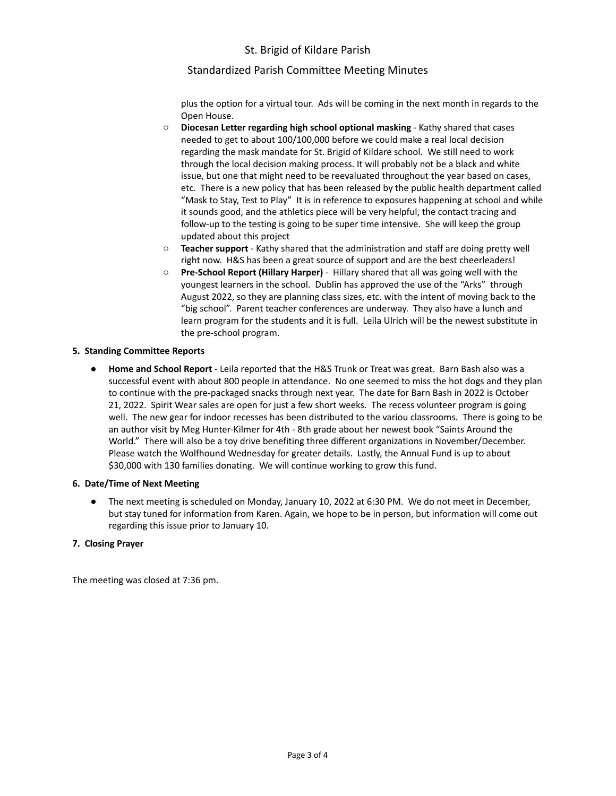# St. Brigid of Kildare Parish

# Standardized Parish Committee Meeting Minutes

plus the option for a virtual tour. Ads will be coming in the next month in regards to the Open House.

- **Diocesan Letter regarding high school optional masking** Kathy shared that cases needed to get to about 100/100,000 before we could make a real local decision regarding the mask mandate for St. Brigid of Kildare school. We still need to work through the local decision making process. It will probably not be a black and white issue, but one that might need to be reevaluated throughout the year based on cases, etc. There is a new policy that has been released by the public health department called "Mask to Stay, Test to Play" It is in reference to exposures happening at school and while it sounds good, and the athletics piece will be very helpful, the contact tracing and follow-up to the testing is going to be super time intensive. She will keep the group updated about this project
- **Teacher support** Kathy shared that the administration and staff are doing pretty well right now. H&S has been a great source of support and are the best cheerleaders!
- **Pre-School Report (Hillary Harper)** Hillary shared that all was going well with the youngest learners in the school. Dublin has approved the use of the "Arks" through August 2022, so they are planning class sizes, etc. with the intent of moving back to the "big school". Parent teacher conferences are underway. They also have a lunch and learn program for the students and it is full. Leila Ulrich will be the newest substitute in the pre-school program.

## **5. Standing Committee Reports**

● **Home and School Report** - Leila reported that the H&S Trunk or Treat was great. Barn Bash also was a successful event with about 800 people in attendance. No one seemed to miss the hot dogs and they plan to continue with the pre-packaged snacks through next year. The date for Barn Bash in 2022 is October 21, 2022. Spirit Wear sales are open for just a few short weeks. The recess volunteer program is going well. The new gear for indoor recesses has been distributed to the variou classrooms. There is going to be an author visit by Meg Hunter-Kilmer for 4th - 8th grade about her newest book "Saints Around the World." There will also be a toy drive benefiting three different organizations in November/December. Please watch the Wolfhound Wednesday for greater details. Lastly, the Annual Fund is up to about \$30,000 with 130 families donating. We will continue working to grow this fund.

#### **6. Date/Time of Next Meeting**

The next meeting is scheduled on Monday, January 10, 2022 at 6:30 PM. We do not meet in December, but stay tuned for information from Karen. Again, we hope to be in person, but information will come out regarding this issue prior to January 10.

#### **7. Closing Prayer**

The meeting was closed at 7:36 pm.